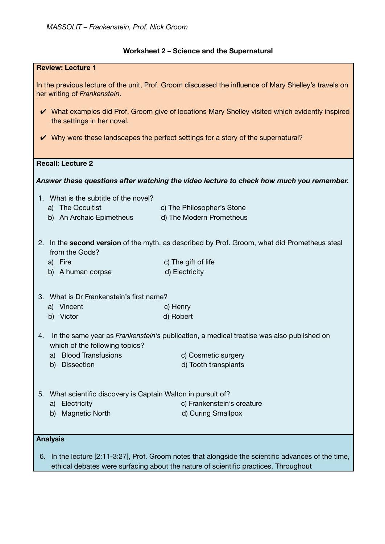# **Worksheet 2 – Science and the Supernatural**

| <b>Review: Lecture 1</b>                                                                                                                |                            |  |
|-----------------------------------------------------------------------------------------------------------------------------------------|----------------------------|--|
| In the previous lecture of the unit, Prof. Groom discussed the influence of Mary Shelley's travels on<br>her writing of Frankenstein.   |                            |  |
| V What examples did Prof. Groom give of locations Mary Shelley visited which evidently inspired<br>the settings in her novel.           |                            |  |
| V Why were these landscapes the perfect settings for a story of the supernatural?                                                       |                            |  |
| <b>Recall: Lecture 2</b>                                                                                                                |                            |  |
| Answer these questions after watching the video lecture to check how much you remember.                                                 |                            |  |
| 1. What is the subtitle of the novel?                                                                                                   |                            |  |
| a) The Occultist                                                                                                                        | c) The Philosopher's Stone |  |
| b) An Archaic Epimetheus                                                                                                                | d) The Modern Prometheus   |  |
| In the second version of the myth, as described by Prof. Groom, what did Prometheus steal<br>2.<br>from the Gods?                       |                            |  |
| a) Fire                                                                                                                                 | c) The gift of life        |  |
| b)<br>A human corpse                                                                                                                    | d) Electricity             |  |
| 3. What is Dr Frankenstein's first name?                                                                                                |                            |  |
| a) Vincent                                                                                                                              | c) Henry                   |  |
| b) Victor                                                                                                                               | d) Robert                  |  |
| In the same year as <i>Frankenstein's</i> publication, a medical treatise was also published on<br>4.<br>which of the following topics? |                            |  |
| <b>Blood Transfusions</b><br>a)                                                                                                         | c) Cosmetic surgery        |  |
| <b>Dissection</b><br>b)                                                                                                                 | d) Tooth transplants       |  |
|                                                                                                                                         |                            |  |
| What scientific discovery is Captain Walton in pursuit of?<br>5.                                                                        |                            |  |
| Electricity<br>a)                                                                                                                       | c) Frankenstein's creature |  |
| <b>Magnetic North</b><br>b)                                                                                                             | d) Curing Smallpox         |  |
| <b>Analysis</b>                                                                                                                         |                            |  |
| In the lecture [2:11-3:27], Prof. Groom notes that alongside the scientific advances of the time,<br>6.                                 |                            |  |
| ethical debates were surfacing about the nature of scientific practices. Throughout                                                     |                            |  |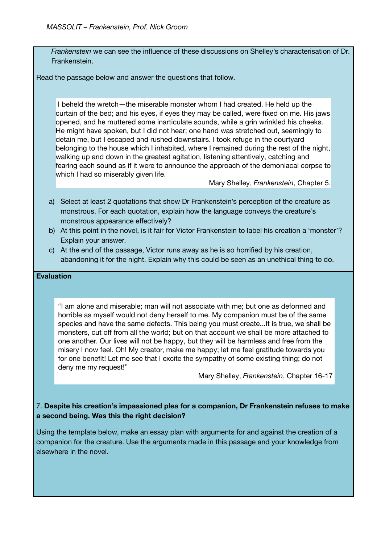*Frankenstein* we can see the influence of these discussions on Shelley's characterisation of Dr. Frankenstein.

Read the passage below and answer the questions that follow.

I beheld the wretch—the miserable monster whom I had created. He held up the curtain of the bed; and his eyes, if eyes they may be called, were fixed on me. His jaws opened, and he muttered some inarticulate sounds, while a grin wrinkled his cheeks. He might have spoken, but I did not hear; one hand was stretched out, seemingly to detain me, but I escaped and rushed downstairs. I took refuge in the courtyard belonging to the house which I inhabited, where I remained during the rest of the night, walking up and down in the greatest agitation, listening attentively, catching and fearing each sound as if it were to announce the approach of the demoniacal corpse to which I had so miserably given life.

Mary Shelley, *Frankenstein*, Chapter 5.

- a) Select at least 2 quotations that show Dr Frankenstein's perception of the creature as monstrous. For each quotation, explain how the language conveys the creature's monstrous appearance effectively?
- b) At this point in the novel, is it fair for Victor Frankenstein to label his creation a 'monster'? Explain your answer.
- c) At the end of the passage, Victor runs away as he is so horrified by his creation, abandoning it for the night. Explain why this could be seen as an unethical thing to do.

#### **Evaluation**

"I am alone and miserable; man will not associate with me; but one as deformed and horrible as myself would not deny herself to me. My companion must be of the same species and have the same defects. This being you must create...It is true, we shall be monsters, cut off from all the world; but on that account we shall be more attached to one another. Our lives will not be happy, but they will be harmless and free from the misery I now feel. Oh! My creator, make me happy; let me feel gratitude towards you for one benefit! Let me see that I excite the sympathy of some existing thing; do not deny me my request!"

Mary Shelley, *Frankenstein*, Chapter 16-17

## 7. **Despite his creation's impassioned plea for a companion, Dr Frankenstein refuses to make a second being. Was this the right decision?**

Using the template below, make an essay plan with arguments for and against the creation of a companion for the creature. Use the arguments made in this passage and your knowledge from elsewhere in the novel.